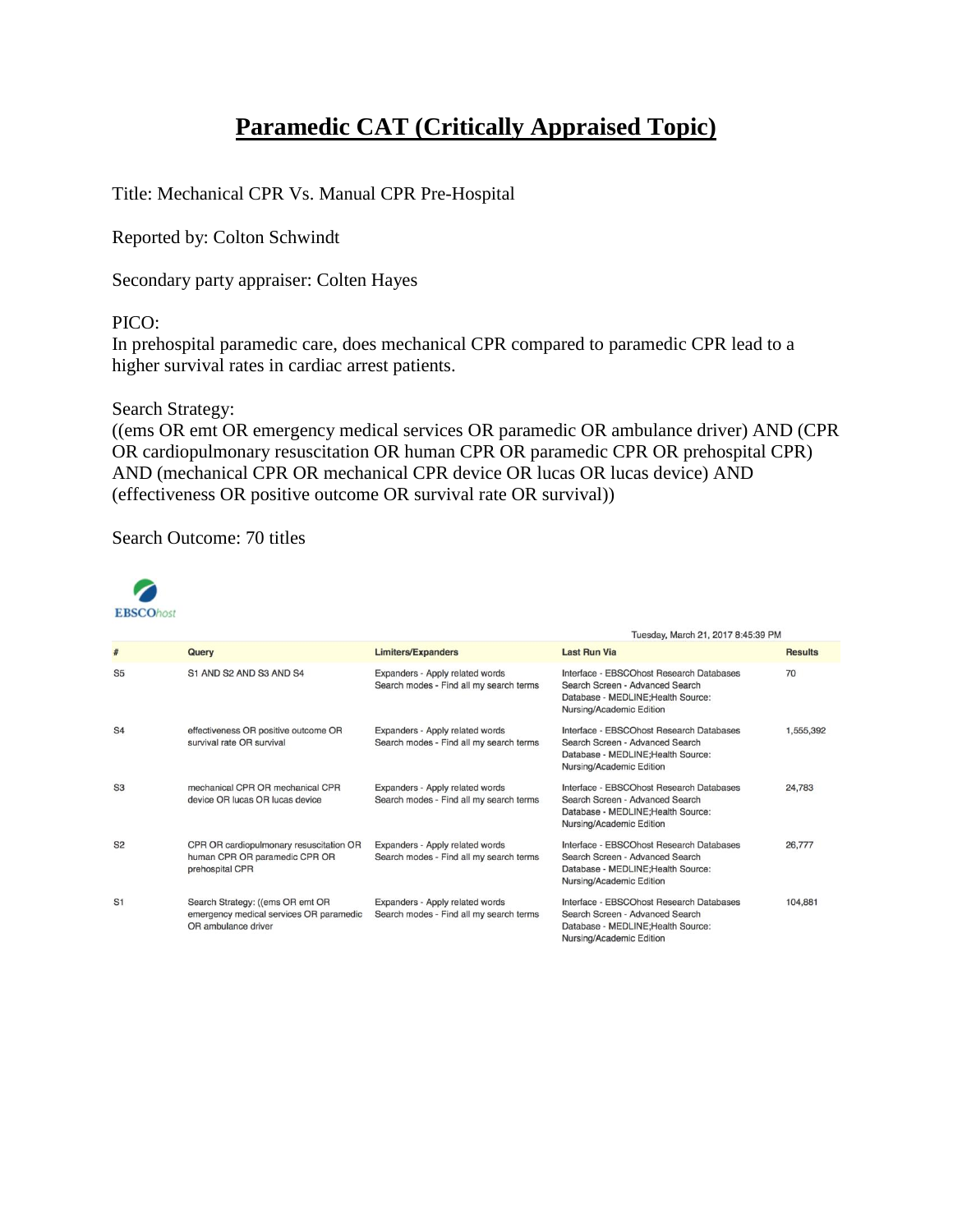# **Paramedic CAT (Critically Appraised Topic)**

Title: Mechanical CPR Vs. Manual CPR Pre-Hospital

Reported by: Colton Schwindt

Secondary party appraiser: Colten Hayes

### PICO:

In prehospital paramedic care, does mechanical CPR compared to paramedic CPR lead to a higher survival rates in cardiac arrest patients.

#### Search Strategy:

((ems OR emt OR emergency medical services OR paramedic OR ambulance driver) AND (CPR OR cardiopulmonary resuscitation OR human CPR OR paramedic CPR OR prehospital CPR) AND (mechanical CPR OR mechanical CPR device OR lucas OR lucas device) AND (effectiveness OR positive outcome OR survival rate OR survival))

Search Outcome: 70 titles



|                |                                                                                                    |                                                                            | Tuesday, March 21, 2017 8:45:39 PM                                                                                                            |                |  |
|----------------|----------------------------------------------------------------------------------------------------|----------------------------------------------------------------------------|-----------------------------------------------------------------------------------------------------------------------------------------------|----------------|--|
| #              | Query                                                                                              | <b>Limiters/Expanders</b>                                                  | <b>Last Run Via</b>                                                                                                                           | <b>Results</b> |  |
| S <sub>5</sub> | S1 AND S2 AND S3 AND S4                                                                            | Expanders - Apply related words<br>Search modes - Find all my search terms | Interface - EBSCOhost Research Databases<br>Search Screen - Advanced Search<br>Database - MEDLINE; Health Source:<br>Nursing/Academic Edition | 70             |  |
| S <sub>4</sub> | effectiveness OR positive outcome OR<br>survival rate OR survival                                  | Expanders - Apply related words<br>Search modes - Find all my search terms | Interface - EBSCOhost Research Databases<br>Search Screen - Advanced Search<br>Database - MEDLINE; Health Source:<br>Nursing/Academic Edition | 1,555,392      |  |
| S <sub>3</sub> | mechanical CPR OR mechanical CPR<br>device OR lucas OR lucas device                                | Expanders - Apply related words<br>Search modes - Find all my search terms | Interface - EBSCOhost Research Databases<br>Search Screen - Advanced Search<br>Database - MEDLINE; Health Source:<br>Nursing/Academic Edition | 24,783         |  |
| S <sub>2</sub> | CPR OR cardiopulmonary resuscitation OR<br>human CPR OR paramedic CPR OR<br>prehospital CPR        | Expanders - Apply related words<br>Search modes - Find all my search terms | Interface - EBSCOhost Research Databases<br>Search Screen - Advanced Search<br>Database - MEDLINE; Health Source:<br>Nursing/Academic Edition | 26,777         |  |
| S <sub>1</sub> | Search Strategy: ((ems OR emt OR<br>emergency medical services OR paramedic<br>OR ambulance driver | Expanders - Apply related words<br>Search modes - Find all my search terms | Interface - EBSCOhost Research Databases<br>Search Screen - Advanced Search<br>Database - MEDLINE; Health Source:<br>Nursing/Academic Edition | 104,881        |  |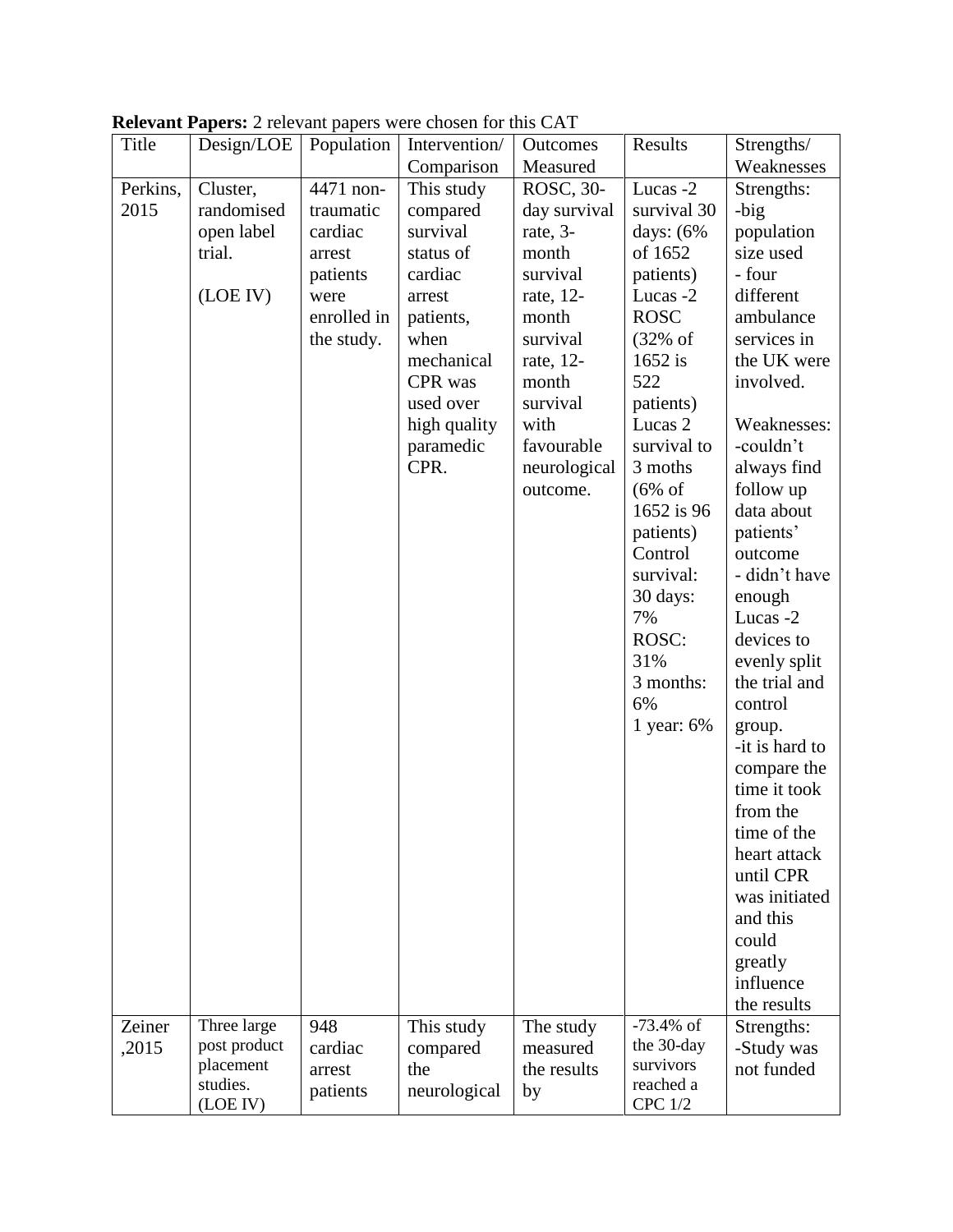|          |              |             | <b>Exercisely a persistence</b> and papers were enosen for ans $C(Y)$ |              |                     |                |
|----------|--------------|-------------|-----------------------------------------------------------------------|--------------|---------------------|----------------|
| Title    | Design/LOE   | Population  | Intervention/                                                         | Outcomes     | Results             | Strengths/     |
|          |              |             | Comparison                                                            | Measured     |                     | Weaknesses     |
| Perkins, | Cluster,     | 4471 non-   | This study                                                            | ROSC, 30-    | Lucas -2            | Strengths:     |
| 2015     | randomised   | traumatic   | compared                                                              | day survival | survival 30         | -big           |
|          | open label   | cardiac     | survival                                                              | rate, 3-     | days: $(6\%$        | population     |
|          | trial.       | arrest      | status of                                                             | month        | of 1652             | size used      |
|          |              | patients    | cardiac                                                               | survival     | patients)           | - four         |
|          | (LOE IV)     | were        | arrest                                                                | rate, 12-    | Lucas -2            | different      |
|          |              | enrolled in | patients,                                                             | month        | <b>ROSC</b>         | ambulance      |
|          |              | the study.  | when                                                                  | survival     | $(32\% \text{ of }$ | services in    |
|          |              |             | mechanical                                                            | rate, 12-    | $1652$ is           | the UK were    |
|          |              |             |                                                                       |              |                     |                |
|          |              |             | CPR was                                                               | month        | 522                 | involved.      |
|          |              |             | used over                                                             | survival     | patients)           |                |
|          |              |             | high quality                                                          | with         | Lucas <sub>2</sub>  | Weaknesses:    |
|          |              |             | paramedic                                                             | favourable   | survival to         | -couldn't      |
|          |              |             | CPR.                                                                  | neurological | 3 moths             | always find    |
|          |              |             |                                                                       | outcome.     | $(6\% \text{ of }$  | follow up      |
|          |              |             |                                                                       |              | 1652 is 96          | data about     |
|          |              |             |                                                                       |              | patients)           | patients'      |
|          |              |             |                                                                       |              | Control             | outcome        |
|          |              |             |                                                                       |              | survival:           | - didn't have  |
|          |              |             |                                                                       |              | 30 days:            | enough         |
|          |              |             |                                                                       |              | 7%                  | Lucas -2       |
|          |              |             |                                                                       |              | ROSC:               | devices to     |
|          |              |             |                                                                       |              | 31%                 | evenly split   |
|          |              |             |                                                                       |              | 3 months:           | the trial and  |
|          |              |             |                                                                       |              | 6%                  | control        |
|          |              |             |                                                                       |              |                     |                |
|          |              |             |                                                                       |              | 1 year: 6%          | group.         |
|          |              |             |                                                                       |              |                     | -it is hard to |
|          |              |             |                                                                       |              |                     | compare the    |
|          |              |             |                                                                       |              |                     | time it took   |
|          |              |             |                                                                       |              |                     | from the       |
|          |              |             |                                                                       |              |                     | time of the    |
|          |              |             |                                                                       |              |                     | heart attack   |
|          |              |             |                                                                       |              |                     | until CPR      |
|          |              |             |                                                                       |              |                     | was initiated  |
|          |              |             |                                                                       |              |                     | and this       |
|          |              |             |                                                                       |              |                     | could          |
|          |              |             |                                                                       |              |                     | greatly        |
|          |              |             |                                                                       |              |                     | influence      |
|          |              |             |                                                                       |              |                     | the results    |
| Zeiner   | Three large  | 948         | This study                                                            | The study    | $-73.4\%$ of        | Strengths:     |
| ,2015    | post product | cardiac     | compared                                                              | measured     | the 30-day          | -Study was     |
|          | placement    |             | the                                                                   | the results  | survivors           | not funded     |
|          | studies.     | arrest      |                                                                       |              | reached a           |                |
|          | (LOE IV)     | patients    | neurological                                                          | by           | <b>CPC 1/2</b>      |                |

**Relevant Papers:** 2 relevant papers were chosen for this CAT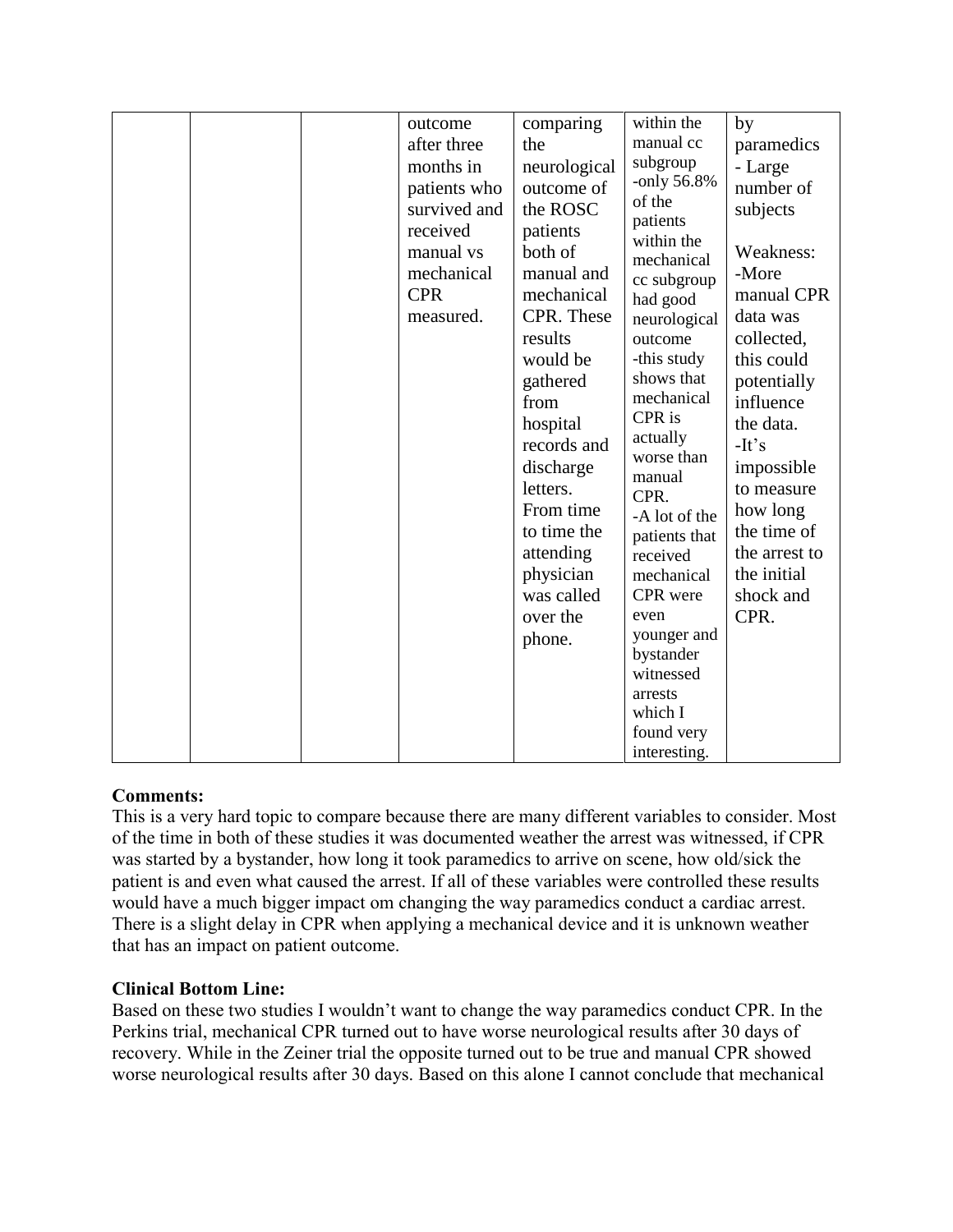| outcome<br>after three<br>months in<br>patients who<br>survived and<br>received<br>manual vs<br>mechanical<br><b>CPR</b><br>measured. | comparing<br>the<br>neurological<br>outcome of<br>the ROSC<br>patients<br>both of<br>manual and<br>mechanical<br>CPR. These<br>results             | within the<br>manual cc<br>subgroup<br>-only 56.8%<br>of the<br>patients<br>within the<br>mechanical<br>cc subgroup<br>had good<br>neurological<br>outcome                                                                                    | by<br>paramedics<br>- Large<br>number of<br>subjects<br>Weakness:<br>-More<br>manual CPR<br>data was<br>collected,                            |
|---------------------------------------------------------------------------------------------------------------------------------------|----------------------------------------------------------------------------------------------------------------------------------------------------|-----------------------------------------------------------------------------------------------------------------------------------------------------------------------------------------------------------------------------------------------|-----------------------------------------------------------------------------------------------------------------------------------------------|
|                                                                                                                                       | from<br>hospital<br>records and<br>discharge<br>letters.<br>From time<br>to time the<br>attending<br>physician<br>was called<br>over the<br>phone. | mechanical<br>CPR is<br>actually<br>worse than<br>manual<br>CPR.<br>-A lot of the<br>patients that<br>received<br>mechanical<br>CPR were<br>even<br>younger and<br>bystander<br>witnessed<br>arrests<br>which I<br>found very<br>interesting. | influence<br>the data.<br>$-It's$<br>impossible<br>to measure<br>how long<br>the time of<br>the arrest to<br>the initial<br>shock and<br>CPR. |

# **Comments:**

This is a very hard topic to compare because there are many different variables to consider. Most of the time in both of these studies it was documented weather the arrest was witnessed, if CPR was started by a bystander, how long it took paramedics to arrive on scene, how old/sick the patient is and even what caused the arrest. If all of these variables were controlled these results would have a much bigger impact om changing the way paramedics conduct a cardiac arrest. There is a slight delay in CPR when applying a mechanical device and it is unknown weather that has an impact on patient outcome.

# **Clinical Bottom Line:**

Based on these two studies I wouldn't want to change the way paramedics conduct CPR. In the Perkins trial, mechanical CPR turned out to have worse neurological results after 30 days of recovery. While in the Zeiner trial the opposite turned out to be true and manual CPR showed worse neurological results after 30 days. Based on this alone I cannot conclude that mechanical